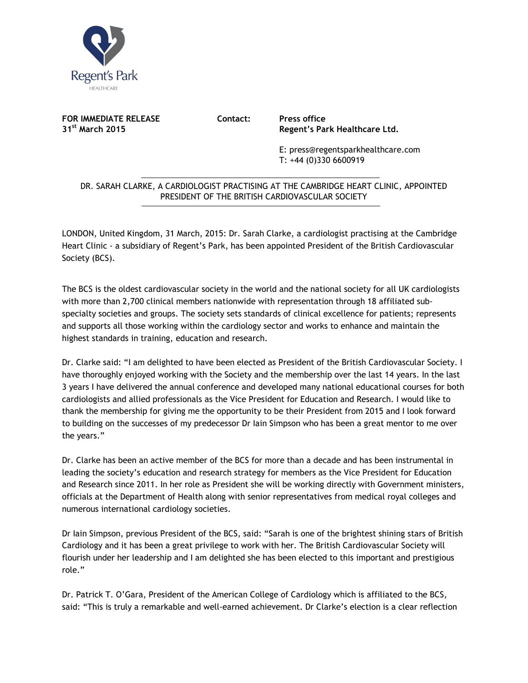

**FOR IMMEDIATE RELEASE Contact: Press office**<br>31<sup>st</sup> March 2015 **Regent's Palm** 

**31st March 2015 Regent's Park Healthcare Ltd.** 

E: press@regentsparkhealthcare.com T: +44 (0)330 6600919

## DR. SARAH CLARKE, A CARDIOLOGIST PRACTISING AT THE CAMBRIDGE HEART CLINIC, APPOINTED PRESIDENT OF THE BRITISH CARDIOVASCULAR SOCIETY  $\overline{a}$

LONDON, United Kingdom, 31 March, 2015: Dr. Sarah Clarke, a cardiologist practising at the Cambridge Heart Clinic - a subsidiary of Regent's Park, has been appointed President of the British Cardiovascular Society (BCS).

The BCS is the oldest cardiovascular society in the world and the national society for all UK cardiologists with more than 2,700 clinical members nationwide with representation through 18 affiliated subspecialty societies and groups. The society sets standards of clinical excellence for patients; represents and supports all those working within the cardiology sector and works to enhance and maintain the highest standards in training, education and research.

Dr. Clarke said: "I am delighted to have been elected as President of the British Cardiovascular Society. I have thoroughly enjoyed working with the Society and the membership over the last 14 years. In the last 3 years I have delivered the annual conference and developed many national educational courses for both cardiologists and allied professionals as the Vice President for Education and Research. I would like to thank the membership for giving me the opportunity to be their President from 2015 and I look forward to building on the successes of my predecessor Dr Iain Simpson who has been a great mentor to me over the years."

Dr. Clarke has been an active member of the BCS for more than a decade and has been instrumental in leading the society's education and research strategy for members as the Vice President for Education and Research since 2011. In her role as President she will be working directly with Government ministers, officials at the Department of Health along with senior representatives from medical royal colleges and numerous international cardiology societies.

Dr Iain Simpson, previous President of the BCS, said: "Sarah is one of the brightest shining stars of British Cardiology and it has been a great privilege to work with her. The British Cardiovascular Society will flourish under her leadership and I am delighted she has been elected to this important and prestigious role."

Dr. Patrick T. O'Gara, President of the American College of Cardiology which is affiliated to the BCS, said: "This is truly a remarkable and well-earned achievement. Dr Clarke's election is a clear reflection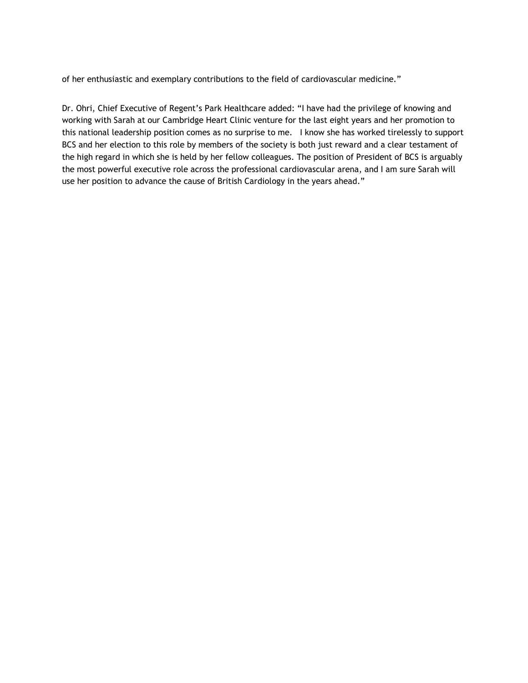of her enthusiastic and exemplary contributions to the field of cardiovascular medicine."

Dr. Ohri, Chief Executive of Regent's Park Healthcare added: "I have had the privilege of knowing and working with Sarah at our Cambridge Heart Clinic venture for the last eight years and her promotion to this national leadership position comes as no surprise to me. I know she has worked tirelessly to support BCS and her election to this role by members of the society is both just reward and a clear testament of the high regard in which she is held by her fellow colleagues. The position of President of BCS is arguably the most powerful executive role across the professional cardiovascular arena, and I am sure Sarah will use her position to advance the cause of British Cardiology in the years ahead."